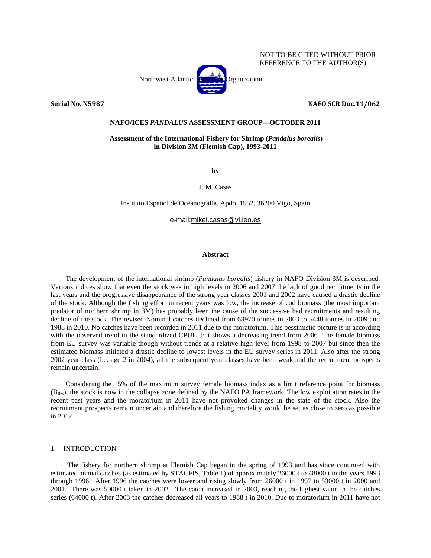## NOT TO BE CITED WITHOUT PRIOR REFERENCE TO THE AUTHOR(S)

Northwest Atlantic Fisheries Organization

**Serial No. N5987 NAFO SCR Doc.11/062**

### **NAFO/ICES** *PANDALUS* **ASSESSMENT GROUP—OCTOBER 2011**

## **Assessment of the International Fishery for Shrimp (***Pandalus borealis***) in Division 3M (Flemish Cap), 1993-2011**

**by** 

J. M. Casas

Instituto Español de Oceanografía, Apdo. 1552, 36200 Vigo, Spain

e-mail:mikel.casas@vi.ieo.es

### **Abstract**

The development of the international shrimp (*Pandalus borealis*) fishery in NAFO Division 3M is described. Various indices show that even the stock was in high levels in 2006 and 2007 the lack of good recruitments in the last years and the progressive disappearance of the strong year classes 2001 and 2002 have caused a drastic decline of the stock. Although the fishing effort in recent years was low, the increase of cod biomass (the most important predator of northern shrimp in 3M) has probably been the cause of the successive bad recruitments and resulting decline of the stock. The revised Nominal catches declined from 63970 tonnes in 2003 to 5448 tonnes in 2009 and 1988 in 2010. No catches have been recorded in 2011 due to the moratorium. This pessimistic picture is in according with the observed trend in the standardized CPUE that shows a decreasing trend from 2006. The female biomass from EU survey was variable though without trends at a relative high level from 1998 to 2007 but since then the estimated biomass initiated a drastic decline to lowest levels in the EU survey series in 2011. Also after the strong 2002 year-class (i.e. age 2 in 2004), all the subsequent year classes have been weak and the recruitment prospects remain uncertain.

Considering the 15% of the maximum survey female biomass index as a limit reference point for biomass (Blim), the stock is now in the collapse zone defined by the NAFO PA framework. The low exploitation rates in the recent past years and the moratorium in 2011 have not provoked changes in the state of the stock. Also the recruitment prospects remain uncertain and therefore the fishing mortality would be set as close to zero as possible in 2012.

## 1. INTRODUCTION

 The fishery for northern shrimp at Flemish Cap began in the spring of 1993 and has since continued with estimated annual catches (as estimated by STACFIS, Table 1) of approximately 26000 t to 48000 t in the years 1993 through 1996. After 1996 the catches were lower and rising slowly from 26000 t in 1997 to 53000 t in 2000 and 2001. There was 50000 t taken in 2002. The catch increased in 2003, reaching the highest value in the catches series (64000 t). After 2003 the catches decreased all years to 1988 t in 2010. Due to moratorium in 2011 have not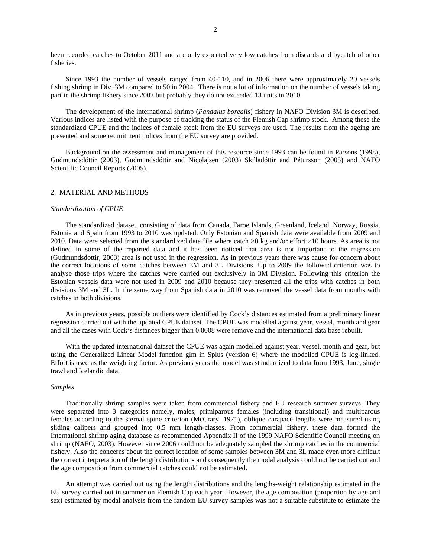been recorded catches to October 2011 and are only expected very low catches from discards and bycatch of other fisheries.

Since 1993 the number of vessels ranged from 40-110, and in 2006 there were approximately 20 vessels fishing shrimp in Div. 3M compared to 50 in 2004. There is not a lot of information on the number of vessels taking part in the shrimp fishery since 2007 but probably they do not exceeded 13 units in 2010.

The development of the international shrimp (*Pandalus borealis*) fishery in NAFO Division 3M is described. Various indices are listed with the purpose of tracking the status of the Flemish Cap shrimp stock. Among these the standardized CPUE and the indices of female stock from the EU surveys are used. The results from the ageing are presented and some recruitment indices from the EU survey are provided.

Background on the assessment and management of this resource since 1993 can be found in Parsons (1998), Gudmundsdóttir (2003), Gudmundsdóttir and Nicolajsen (2003) Skúladóttir and Pétursson (2005) and NAFO Scientific Council Reports (2005).

#### 2. MATERIAL AND METHODS

#### *Standardization of CPUE*

The standardized dataset, consisting of data from Canada, Faroe Islands, Greenland, Iceland, Norway, Russia, Estonia and Spain from 1993 to 2010 was updated. Only Estonian and Spanish data were available from 2009 and 2010. Data were selected from the standardized data file where catch  $>0$  kg and/or effort  $>10$  hours. As area is not defined in some of the reported data and it has been noticed that area is not important to the regression (Gudmundsdottir, 2003) area is not used in the regression. As in previous years there was cause for concern about the correct locations of some catches between 3M and 3L Divisions. Up to 2009 the followed criterion was to analyse those trips where the catches were carried out exclusively in 3M Division. Following this criterion the Estonian vessels data were not used in 2009 and 2010 because they presented all the trips with catches in both divisions 3M and 3L. In the same way from Spanish data in 2010 was removed the vessel data from months with catches in both divisions.

As in previous years, possible outliers were identified by Cock's distances estimated from a preliminary linear regression carried out with the updated CPUE dataset. The CPUE was modelled against year, vessel, month and gear and all the cases with Cock's distances bigger than 0.0008 were remove and the international data base rebuilt.

With the updated international dataset the CPUE was again modelled against year, vessel, month and gear, but using the Generalized Linear Model function glm in Splus (version 6) where the modelled CPUE is log-linked. Effort is used as the weighting factor. As previous years the model was standardized to data from 1993, June, single trawl and Icelandic data.

# *Samples*

Traditionally shrimp samples were taken from commercial fishery and EU research summer surveys. They were separated into 3 categories namely, males, primiparous females (including transitional) and multiparous females according to the sternal spine criterion (McCrary. 1971), oblique carapace lengths were measured using sliding calipers and grouped into 0.5 mm length-classes. From commercial fishery, these data formed the International shrimp aging database as recommended Appendix II of the 1999 NAFO Scientific Council meeting on shrimp (NAFO, 2003). However since 2006 could not be adequately sampled the shrimp catches in the commercial fishery. Also the concerns about the correct location of some samples between 3M and 3L made even more difficult the correct interpretation of the length distributions and consequently the modal analysis could not be carried out and the age composition from commercial catches could not be estimated.

An attempt was carried out using the length distributions and the lengths-weight relationship estimated in the EU survey carried out in summer on Flemish Cap each year. However, the age composition (proportion by age and sex) estimated by modal analysis from the random EU survey samples was not a suitable substitute to estimate the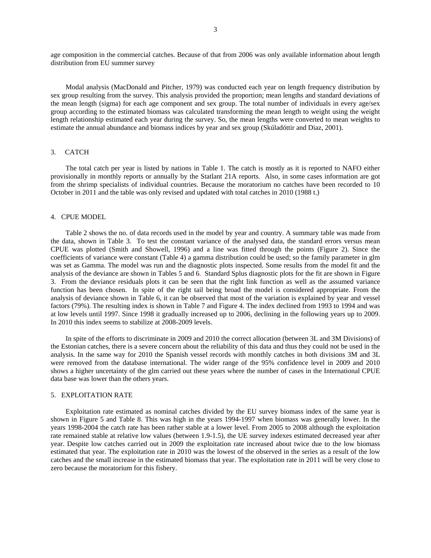age composition in the commercial catches. Because of that from 2006 was only available information about length distribution from EU summer survey

Modal analysis (MacDonald and Pitcher, 1979) was conducted each year on length frequency distribution by sex group resulting from the survey. This analysis provided the proportion; mean lengths and standard deviations of the mean length (sigma) for each age component and sex group. The total number of individuals in every age/sex group according to the estimated biomass was calculated transforming the mean length to weight using the weight length relationship estimated each year during the survey. So, the mean lengths were converted to mean weights to estimate the annual abundance and biomass indices by year and sex group (Skúladóttir and Diaz, 2001).

#### 3. CATCH

The total catch per year is listed by nations in Table 1. The catch is mostly as it is reported to NAFO either provisionally in monthly reports or annually by the Statlant 21A reports. Also, in some cases information are got from the shrimp specialists of individual countries. Because the moratorium no catches have been recorded to 10 October in 2011 and the table was only revised and updated with total catches in 2010 (1988 t.)

### 4. CPUE MODEL

Table 2 shows the no. of data records used in the model by year and country. A summary table was made from the data, shown in Table 3. To test the constant variance of the analysed data, the standard errors versus mean CPUE was plotted (Smith and Showell, 1996) and a line was fitted through the points (Figure 2). Since the coefficients of variance were constant (Table 4) a gamma distribution could be used; so the family parameter in glm was set as Gamma. The model was run and the diagnostic plots inspected. Some results from the model fit and the analysis of the deviance are shown in Tables 5 and 6. Standard Splus diagnostic plots for the fit are shown in Figure 3. From the deviance residuals plots it can be seen that the right link function as well as the assumed variance function has been chosen. In spite of the right tail being broad the model is considered appropriate. From the analysis of deviance shown in Table 6, it can be observed that most of the variation is explained by year and vessel factors (79%). The resulting index is shown in Table 7 and Figure 4. The index declined from 1993 to 1994 and was at low levels until 1997. Since 1998 it gradually increased up to 2006, declining in the following years up to 2009. In 2010 this index seems to stabilize at 2008-2009 levels.

In spite of the efforts to discriminate in 2009 and 2010 the correct allocation (between 3L and 3M Divisions) of the Estonian catches, there is a severe concern about the reliability of this data and thus they could not be used in the analysis. In the same way for 2010 the Spanish vessel records with monthly catches in both divisions 3M and 3L were removed from the database international. The wider range of the 95% confidence level in 2009 and 2010 shows a higher uncertainty of the glm carried out these years where the number of cases in the International CPUE data base was lower than the others years.

# 5. EXPLOITATION RATE

Exploitation rate estimated as nominal catches divided by the EU survey biomass index of the same year is shown in Figure 5 and Table 8. This was high in the years 1994-1997 when biomass was generally lower. In the years 1998-2004 the catch rate has been rather stable at a lower level. From 2005 to 2008 although the exploitation rate remained stable at relative low values (between 1.9-1.5), the UE survey indexes estimated decreased year after year. Despite low catches carried out in 2009 the exploitation rate increased about twice due to the low biomass estimated that year. The exploitation rate in 2010 was the lowest of the observed in the series as a result of the low catches and the small increase in the estimated biomass that year. The exploitation rate in 2011 will be very close to zero because the moratorium for this fishery.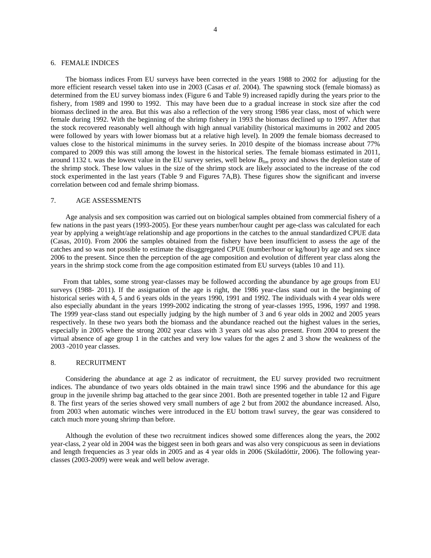#### 6. FEMALE INDICES

The biomass indices From EU surveys have been corrected in the years 1988 to 2002 for adjusting for the more efficient research vessel taken into use in 2003 (Casas *et al*. 2004). The spawning stock (female biomass) as determined from the EU survey biomass index (Figure 6 and Table 9) increased rapidly during the years prior to the fishery, from 1989 and 1990 to 1992. This may have been due to a gradual increase in stock size after the cod biomass declined in the area. But this was also a reflection of the very strong 1986 year class, most of which were female during 1992. With the beginning of the shrimp fishery in 1993 the biomass declined up to 1997. After that the stock recovered reasonably well although with high annual variability (historical maximums in 2002 and 2005 were followed by years with lower biomass but at a relative high level). In 2009 the female biomass decreased to values close to the historical minimums in the survey series. In 2010 despite of the biomass increase about 77% compared to 2009 this was still among the lowest in the historical series. The female biomass estimated in 2011, around 1132 t. was the lowest value in the EU survey series, well below *Blim* proxy and shows the depletion state of the shrimp stock. These low values in the size of the shrimp stock are likely associated to the increase of the cod stock experimented in the last years (Table 9 and Figures 7A,B). These figures show the significant and inverse correlation between cod and female shrimp biomass.

#### 7. AGE ASSESSMENTS

Age analysis and sex composition was carried out on biological samples obtained from commercial fishery of a few nations in the past years (1993-2005). For these years number/hour caught per age-class was calculated for each year by applying a weight/age relationship and age proportions in the catches to the annual standardized CPUE data (Casas, 2010). From 2006 the samples obtained from the fishery have been insufficient to assess the age of the catches and so was not possible to estimate the disaggregated CPUE (number/hour or kg/hour) by age and sex since 2006 to the present. Since then the perception of the age composition and evolution of different year class along the years in the shrimp stock come from the age composition estimated from EU surveys (tables 10 and 11).

From that tables, some strong year-classes may be followed according the abundance by age groups from EU surveys (1988- 2011). If the assignation of the age is right, the 1986 year-class stand out in the beginning of historical series with 4, 5 and 6 years olds in the years 1990, 1991 and 1992. The individuals with 4 year olds were also especially abundant in the years 1999-2002 indicating the strong of year-classes 1995, 1996, 1997 and 1998. The 1999 year-class stand out especially judging by the high number of 3 and 6 year olds in 2002 and 2005 years respectively. In these two years both the biomass and the abundance reached out the highest values in the series, especially in 2005 where the strong 2002 year class with 3 years old was also present. From 2004 to present the virtual absence of age group 1 in the catches and very low values for the ages 2 and 3 show the weakness of the 2003 -2010 year classes.

### 8. RECRUITMENT

Considering the abundance at age 2 as indicator of recruitment, the EU survey provided two recruitment indices. The abundance of two years olds obtained in the main trawl since 1996 and the abundance for this age group in the juvenile shrimp bag attached to the gear since 2001. Both are presented together in table 12 and Figure 8. The first years of the series showed very small numbers of age 2 but from 2002 the abundance increased. Also, from 2003 when automatic winches were introduced in the EU bottom trawl survey, the gear was considered to catch much more young shrimp than before.

Although the evolution of these two recruitment indices showed some differences along the years, the 2002 year-class, 2 year old in 2004 was the biggest seen in both gears and was also very conspicuous as seen in deviations and length frequencies as 3 year olds in 2005 and as 4 year olds in 2006 (Skúladóttir, 2006). The following yearclasses (2003-2009) were weak and well below average.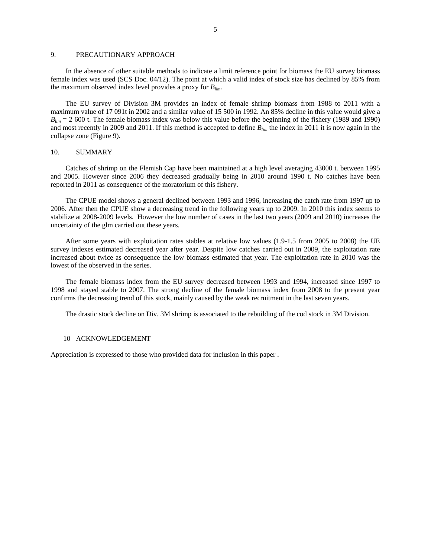## 9. PRECAUTIONARY APPROACH

In the absence of other suitable methods to indicate a limit reference point for biomass the EU survey biomass female index was used (SCS Doc. 04/12). The point at which a valid index of stock size has declined by 85% from the maximum observed index level provides a proxy for *Blim*.

The EU survey of Division 3M provides an index of female shrimp biomass from 1988 to 2011 with a maximum value of 17 091t in 2002 and a similar value of 15 500 in 1992. An 85% decline in this value would give a  $B_{lim}$  = 2 600 t. The female biomass index was below this value before the beginning of the fishery (1989 and 1990) and most recently in 2009 and 2011. If this method is accepted to define *Blim* the index in 2011 it is now again in the collapse zone (Figure 9).

## 10. SUMMARY

Catches of shrimp on the Flemish Cap have been maintained at a high level averaging 43000 t. between 1995 and 2005. However since 2006 they decreased gradually being in 2010 around 1990 t. No catches have been reported in 2011 as consequence of the moratorium of this fishery.

The CPUE model shows a general declined between 1993 and 1996, increasing the catch rate from 1997 up to 2006. After then the CPUE show a decreasing trend in the following years up to 2009. In 2010 this index seems to stabilize at 2008-2009 levels. However the low number of cases in the last two years (2009 and 2010) increases the uncertainty of the glm carried out these years.

After some years with exploitation rates stables at relative low values (1.9-1.5 from 2005 to 2008) the UE survey indexes estimated decreased year after year. Despite low catches carried out in 2009, the exploitation rate increased about twice as consequence the low biomass estimated that year. The exploitation rate in 2010 was the lowest of the observed in the series.

The female biomass index from the EU survey decreased between 1993 and 1994, increased since 1997 to 1998 and stayed stable to 2007. The strong decline of the female biomass index from 2008 to the present year confirms the decreasing trend of this stock, mainly caused by the weak recruitment in the last seven years.

The drastic stock decline on Div. 3M shrimp is associated to the rebuilding of the cod stock in 3M Division.

#### 10 ACKNOWLEDGEMENT

Appreciation is expressed to those who provided data for inclusion in this paper .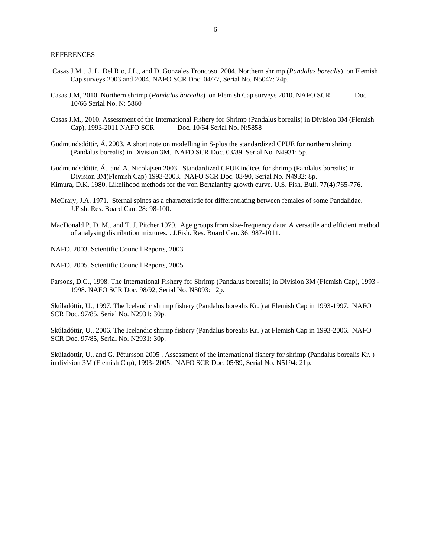- Casas J.M., J. L. Del Rio, J.L., and D. Gonzales Troncoso, 2004. Northern shrimp (*Pandalus borealis*) on Flemish Cap surveys 2003 and 2004. NAFO SCR Doc. 04/77, Serial No. N5047: 24p.
- Casas J.M, 2010. Northern shrimp (*Pandalus borealis*) on Flemish Cap surveys 2010. NAFO SCR Doc. 10/66 Serial No. N: 5860
- Casas J.M., 2010. Assessment of the International Fishery for Shrimp (Pandalus borealis) in Division 3M (Flemish Cap), 1993-2011 NAFO SCR Doc. 10/64 Serial No. N:5858
- Gudmundsdóttir, Á. 2003. A short note on modelling in S-plus the standardized CPUE for northern shrimp (Pandalus borealis) in Division 3M. NAFO SCR Doc. 03/89, Serial No. N4931: 5p.
- Gudmundsdóttir, Á., and A. Nicolajsen 2003. Standardized CPUE indices for shrimp (Pandalus borealis) in Division 3M(Flemish Cap) 1993-2003. NAFO SCR Doc. 03/90, Serial No. N4932: 8p.
- Kimura, D.K. 1980. Likelihood methods for the von Bertalanffy growth curve. U.S. Fish. Bull. 77(4):765-776.
- McCrary, J.A. 1971. Sternal spines as a characteristic for differentiating between females of some Pandalidae. J.Fish. Res. Board Can. 28: 98-100.
- MacDonald P. D. M.. and T. J. Pitcher 1979. Age groups from size-frequency data: A versatile and efficient method of analysing distribution mixtures. . J.Fish. Res. Board Can. 36: 987-1011.
- NAFO. 2003. Scientific Council Reports, 2003.

NAFO. 2005. Scientific Council Reports, 2005.

Parsons, D.G., 1998. The International Fishery for Shrimp (Pandalus borealis) in Division 3M (Flemish Cap), 1993 -1998. NAFO SCR Doc. 98/92, Serial No. N3093: 12p.

Skúladóttir, U., 1997. The Icelandic shrimp fishery (Pandalus borealis Kr. ) at Flemish Cap in 1993-1997. NAFO SCR Doc. 97/85, Serial No. N2931: 30p.

Skúladóttir, U., 2006. The Icelandic shrimp fishery (Pandalus borealis Kr. ) at Flemish Cap in 1993-2006. NAFO SCR Doc. 97/85, Serial No. N2931: 30p.

Skúladóttir, U., and G. Pétursson 2005 . Assessment of the international fishery for shrimp (Pandalus borealis Kr. ) in division 3M (Flemish Cap), 1993- 2005. NAFO SCR Doc. 05/89, Serial No. N5194: 21p.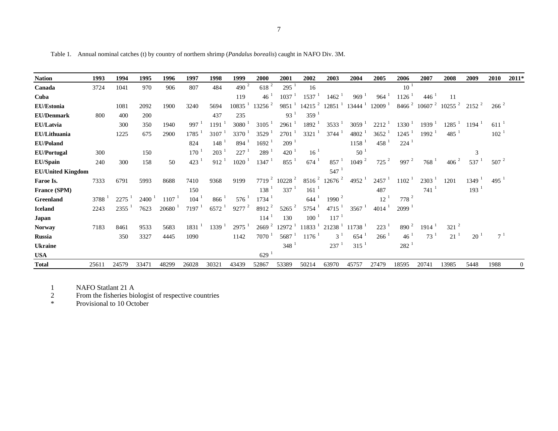| I |  |
|---|--|
|   |  |
|   |  |

Table 1. Annual nominal catches (t) by country of northern shrimp (*Pandalus borealis*) caught in NAFO Div. 3M.

| <b>Nation</b>            | 1993  | 1994  | 1995  | 1996  | 1997             | 1998  | 1999                | 2000                | 2001                 | 2002                 | 2003                 | 2004                 | 2005                 | 2006                | 2007                        | 2008                        | 2009                | 2010               | $2011*$        |
|--------------------------|-------|-------|-------|-------|------------------|-------|---------------------|---------------------|----------------------|----------------------|----------------------|----------------------|----------------------|---------------------|-----------------------------|-----------------------------|---------------------|--------------------|----------------|
| Canada                   | 3724  | 1041  | 970   | 906   | 807              | 484   | 490 $^{2}$          | 618 <sup>2</sup>    | 295 <sup>1</sup>     | 16                   |                      |                      |                      | $10^{-1}$           |                             |                             |                     |                    |                |
| Cuba                     |       |       |       |       |                  |       | 119                 | 46 <sup>1</sup>     | 1037                 | 1537                 | 1462                 | 969                  | 964                  | 1126                | 446                         | 11                          |                     |                    |                |
| <b>EU/Estonia</b>        |       | 1081  | 2092  | 1900  | 3240             | 5694  | 10835               | $13256^2$           | $9851^{-1}$          | $14215$ <sup>2</sup> | $12851$ <sup>1</sup> | $13444$ <sup>1</sup> | $12009-1$            |                     | $8466^2$ 10607 <sup>2</sup> | $10255^2$ 2152 <sup>2</sup> |                     | $266^{2}$          |                |
| <b>EU/Denmark</b>        | 800   | 400   | 200   |       |                  | 437   | 235                 |                     | $93^{\frac{1}{2}}$   | 359                  |                      |                      |                      |                     |                             |                             |                     |                    |                |
| EU/Latvia                |       | 300   | 350   | 1940  | 997              | 1191  | 3080                | 3105                | 2961                 | 1892                 | 3533                 | $3059^{\frac{1}{2}}$ | $2212^{-1}$          | $1330^{\mathrm{T}}$ | 1939                        | 1285                        | $1194$ <sup>1</sup> | $611$ <sup>1</sup> |                |
| EU/Lithuania             |       | 1225  | 675   | 2900  | 1785             | 3107  | 3370                | $3529$ <sup>1</sup> | 2701                 | 3321                 | 3744                 | 4802 <sup>1</sup>    | 3652                 | 1245                | 1992                        | 485                         |                     | $102-1$            |                |
| <b>EU/Poland</b>         |       |       |       |       | 824              | 148   | 894                 | $1692$ <sup>1</sup> | $209-1$              |                      |                      | $1158$ <sup>1</sup>  | $458^{\frac{1}{2}}$  | 224                 |                             |                             |                     |                    |                |
| <b>EU/Portugal</b>       | 300   |       | 150   |       | 170              | 203   | 227                 | $289-1$             | $420-1$              | 16 <sup>1</sup>      |                      | $50^{\circ}$         |                      |                     |                             |                             | 3                   |                    |                |
| <b>EU/Spain</b>          | 240   | 300   | 158   | 50    | 423 <sup>1</sup> | 912   | $1020^{-1}$         | 1347 <sup>1</sup>   | $855^{\frac{1}{2}}$  | $674^{\frac{1}{2}}$  | 857 <sup>1</sup>     | 1049 <sup>2</sup>    | $725$ $^2$           | 997 $^2$            | 768                         | $406^{2}$                   | $537^{\frac{1}{2}}$ | $507^{2}$          |                |
| <b>EU/United Kingdom</b> |       |       |       |       |                  |       |                     |                     |                      |                      | $547^{\frac{1}{2}}$  |                      |                      |                     |                             |                             |                     |                    |                |
| Faroe Is.                | 7333  | 6791  | 5993  | 8688  | 7410             | 9368  | 9199                | $7719^2$            | $10228$ <sup>2</sup> | $8516^2$             | $12676$ <sup>2</sup> | $4952$ <sup>1</sup>  | $2457^{\frac{1}{2}}$ | $1102^{-1}$         | 2303                        | 1201                        | $1349-1$            | $495$ <sup>1</sup> |                |
| France (SPM)             |       |       |       |       | 150              |       |                     | $138-1$             | $337^{1}$            | 161                  |                      |                      | 487                  |                     | 741                         |                             | 193 <sup>1</sup>    |                    |                |
| Greenland                | 3788  | 2275  | 2400  | 1107  | 104              | 866   | $576^{\frac{1}{2}}$ | $1734$ <sup>1</sup> |                      | 644                  | 1990 $^2$            |                      | $12^{-1}$            | $778^2$             |                             |                             |                     |                    |                |
| <b>Iceland</b>           | 2243  | 2355  | 7623  | 20680 | 7197             | 6572  | $9277$ $^{2}$       | $8912^2$            | $5265$ <sup>2</sup>  | 5754                 | 4715                 | $3567^1$             | $4014$ <sup>1</sup>  | $2099$ <sup>1</sup> |                             |                             |                     |                    |                |
| Japan                    |       |       |       |       |                  |       |                     | 114                 | 130                  | 100                  | 117                  |                      |                      |                     |                             |                             |                     |                    |                |
| <b>Norway</b>            | 7183  | 8461  | 9533  | 5683  | 1831             | 1339  | $2975$ <sup>1</sup> | 2669 <sup>2</sup>   | $12972$ <sup>1</sup> | $11833^{\mathrm{T}}$ | 21238                | $11738$ <sup>1</sup> | $223^1$              | $890^2$             | 1914                        | $321^2$                     |                     |                    |                |
| <b>Russia</b>            |       | 350   | 3327  | 4445  | 1090             |       | 1142                | $7070^{-1}$         | 5687                 | 1176                 | $3^1$                | $654^{\frac{1}{2}}$  | $266^{\frac{1}{2}}$  | 46 <sup>1</sup>     | $73^1$                      | 21 <sup>1</sup>             | 20 <sup>1</sup>     | $7^{\frac{1}{2}}$  |                |
| <b>Ukraine</b>           |       |       |       |       |                  |       |                     |                     | 348                  |                      | 237                  | 315                  |                      | $282$ <sup>1</sup>  |                             |                             |                     |                    |                |
| <b>USA</b>               |       |       |       |       |                  |       |                     | 629                 |                      |                      |                      |                      |                      |                     |                             |                             |                     |                    |                |
| <b>Total</b>             | 25611 | 24579 | 33471 | 48299 | 26028            | 30321 | 43439               | 52867               | 53389                | 50214                | 63970                | 45757                | 27479                | 18595               | 20741                       | 13985                       | 5448                | 1988               | $\overline{0}$ |

1 NAFO Statlant 21 A

2 From the fisheries biologist of respective countries

\* Provisional to 10 October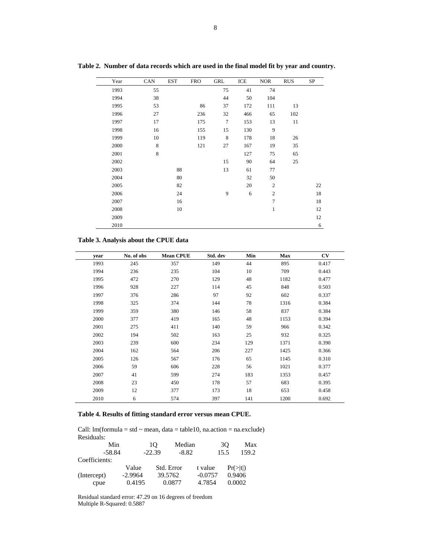| Year | CAN | <b>EST</b> | <b>FRO</b> | GRL    | ICE | <b>NOR</b>       | <b>RUS</b> | SP |
|------|-----|------------|------------|--------|-----|------------------|------------|----|
| 1993 | 55  |            |            | 75     | 41  | 74               |            |    |
| 1994 | 38  |            |            | 44     | 50  | 104              |            |    |
| 1995 | 53  |            | 86         | 37     | 172 | 111              | 13         |    |
| 1996 | 27  |            | 236        | 32     | 466 | 65               | 102        |    |
| 1997 | 17  |            | 175        | $\tau$ | 153 | 13               | 11         |    |
| 1998 | 16  |            | 155        | 15     | 130 | 9                |            |    |
| 1999 | 10  |            | 119        | 8      | 178 | 18               | 26         |    |
| 2000 | 8   |            | 121        | 27     | 167 | 19               | 35         |    |
| 2001 | 8   |            |            |        | 127 | 75               | 65         |    |
| 2002 |     |            |            | 15     | 90  | 64               | 25         |    |
| 2003 |     | 88         |            | 13     | 61  | 77               |            |    |
| 2004 |     | 80         |            |        | 32  | 50               |            |    |
| 2005 |     | 82         |            |        | 20  | $\boldsymbol{2}$ |            | 22 |
| 2006 |     | 24         |            | 9      | 6   | $\mathbf{2}$     |            | 18 |
| 2007 |     | 16         |            |        |     | 7                |            | 18 |
| 2008 |     | 10         |            |        |     | 1                |            | 12 |
| 2009 |     |            |            |        |     |                  |            | 12 |
| 2010 |     |            |            |        |     |                  |            | 6  |

**Table 2. Number of data records which are used in the final model fit by year and country.** 

# **Table 3. Analysis about the CPUE data**

| year | No. of obs | <b>Mean CPUE</b> | Std. dev | Min | Max  | CV    |
|------|------------|------------------|----------|-----|------|-------|
| 1993 | 245        | 357              | 149      | 44  | 895  | 0.417 |
| 1994 | 236        | 235              | 104      | 10  | 709  | 0.443 |
| 1995 | 472        | 270              | 129      | 48  | 1182 | 0.477 |
| 1996 | 928        | 227              | 114      | 45  | 848  | 0.503 |
| 1997 | 376        | 286              | 97       | 92  | 602  | 0.337 |
| 1998 | 325        | 374              | 144      | 78  | 1316 | 0.384 |
| 1999 | 359        | 380              | 146      | 58  | 837  | 0.384 |
| 2000 | 377        | 419              | 165      | 48  | 1153 | 0.394 |
| 2001 | 275        | 411              | 140      | 59  | 966  | 0.342 |
| 2002 | 194        | 502              | 163      | 25  | 932  | 0.325 |
| 2003 | 239        | 600              | 234      | 129 | 1371 | 0.390 |
| 2004 | 162        | 564              | 206      | 227 | 1425 | 0.366 |
| 2005 | 126        | 567              | 176      | 65  | 1145 | 0.310 |
| 2006 | 59         | 606              | 228      | 56  | 1021 | 0.377 |
| 2007 | 41         | 599              | 274      | 183 | 1353 | 0.457 |
| 2008 | 23         | 450              | 178      | 57  | 683  | 0.395 |
| 2009 | 12         | 377              | 173      | 18  | 653  | 0.458 |
| 2010 | 6          | 574              | 397      | 141 | 1200 | 0.692 |

# **Table 4. Results of fitting standard error versus mean CPUE.**

Call:  $lm(formula = std \sim mean, data = table10, na.action = na. exclude)$ Residuals:

| Min           |           | 10       | Median     |           | 30   | Max<br>159.2         |  |  |
|---------------|-----------|----------|------------|-----------|------|----------------------|--|--|
| $-58.84$      |           | $-22.39$ | $-8.82$    |           | 15.5 |                      |  |  |
| Coefficients: |           |          |            |           |      |                      |  |  |
|               | Value     |          | Std. Error | t value   |      | $Pr(>\vert t \vert)$ |  |  |
| (Intercept)   | $-2.9964$ |          | 39.5762    | $-0.0757$ |      | 0.9406               |  |  |
| cpue          | 0.4195    |          | 0.0877     | 4.7854    |      | 0.0002               |  |  |

Residual standard error: 47.29 on 16 degrees of freedom Multiple R-Squared: 0.5887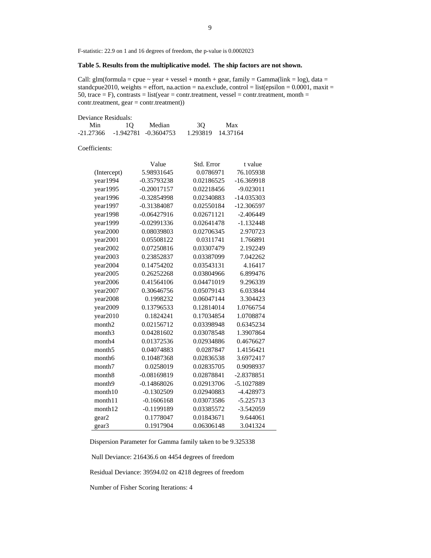F-statistic: 22.9 on 1 and 16 degrees of freedom, the p-value is 0.0002023

# **Table 5. Results from the multiplicative model. The ship factors are not shown.**

Call: glm(formula = cpue  $\sim$  year + vessel + month + gear, family = Gamma(link = log), data = standcpue2010, weights = effort, na.action = na.exclude, control = list(epsilon =  $0.0001$ , maxit = 50, trace = F), contrasts = list(year = contr.treatment, vessel = contr.treatment, month = contr.treatment, gear = contr.treatment))

| Deviance Residuals: |    |                                    |                   |     |
|---------------------|----|------------------------------------|-------------------|-----|
| Min                 | 10 | Median                             | 3O                | Max |
|                     |    | $-21.27366 - 1.942781 - 0.3604753$ | 1.293819 14.37164 |     |

Coefficients:

|                    | Value         | Std. Error | t value      |
|--------------------|---------------|------------|--------------|
| (Intercept)        | 5.98931645    | 0.0786971  | 76.105938    |
| year1994           | $-0.35793238$ | 0.02186525 | $-16.369918$ |
| year1995           | $-0.20017157$ | 0.02218456 | $-9.023011$  |
| year1996           | $-0.32854998$ | 0.02340883 | $-14.035303$ |
| year1997           | $-0.31384087$ | 0.02550184 | -12.306597   |
| year1998           | $-0.06427916$ | 0.02671121 | $-2.406449$  |
| year1999           | $-0.02991336$ | 0.02641478 | $-1.132448$  |
| year2000           | 0.08039803    | 0.02706345 | 2.970723     |
| year2001           | 0.05508122    | 0.0311741  | 1.766891     |
| year2002           | 0.07250816    | 0.03307479 | 2.192249     |
| year2003           | 0.23852837    | 0.03387099 | 7.042262     |
| year2004           | 0.14754202    | 0.03543131 | 4.16417      |
| year2005           | 0.26252268    | 0.03804966 | 6.899476     |
| year2006           | 0.41564106    | 0.04471019 | 9.296339     |
| year2007           | 0.30646756    | 0.05079143 | 6.033844     |
| year2008           | 0.1998232     | 0.06047144 | 3.304423     |
| year2009           | 0.13796533    | 0.12814014 | 1.0766754    |
| year2010           | 0.1824241     | 0.17034854 | 1.0708874    |
| month <sub>2</sub> | 0.02156712    | 0.03398948 | 0.6345234    |
| month <sub>3</sub> | 0.04281602    | 0.03078548 | 1.3907864    |
| month4             | 0.01372536    | 0.02934886 | 0.4676627    |
| month <sub>5</sub> | 0.04074883    | 0.0287847  | 1.4156421    |
| month <sub>6</sub> | 0.10487368    | 0.02836538 | 3.6972417    |
| month7             | 0.0258019     | 0.02835705 | 0.9098937    |
| month <sub>8</sub> | $-0.08169819$ | 0.02878841 | $-2.8378851$ |
| month9             | $-0.14868026$ | 0.02913706 | -5.1027889   |
| month10            | $-0.1302509$  | 0.02940883 | -4.428973    |
| month11            | $-0.1606168$  | 0.03073586 | $-5.225713$  |
| month12            | $-0.1199189$  | 0.03385572 | $-3.542059$  |
| gear2              | 0.1778047     | 0.01843671 | 9.644061     |
| gear3              | 0.1917904     | 0.06306148 | 3.041324     |

Dispersion Parameter for Gamma family taken to be 9.325338

Null Deviance: 216436.6 on 4454 degrees of freedom

Residual Deviance: 39594.02 on 4218 degrees of freedom

Number of Fisher Scoring Iterations: 4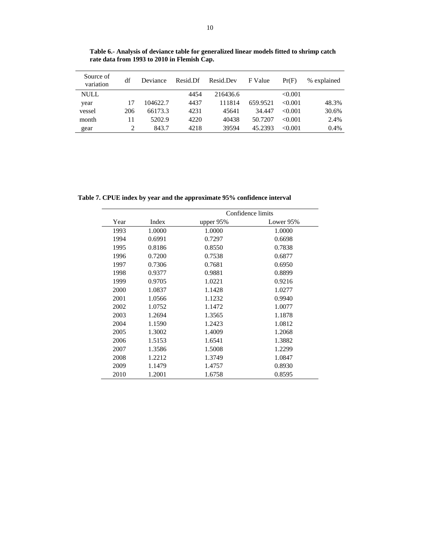| Source of<br>variation | df  | Deviance | Resid.Df | Resid.Dev | F Value  | Pr(F)   | % explained |
|------------------------|-----|----------|----------|-----------|----------|---------|-------------|
| NULL                   |     |          | 4454     | 216436.6  |          | < 0.001 |             |
| year                   | 17  | 104622.7 | 4437     | 111814    | 659.9521 | < 0.001 | 48.3%       |
| vessel                 | 206 | 66173.3  | 4231     | 45641     | 34.447   | < 0.001 | 30.6%       |
| month                  | 11  | 5202.9   | 4220     | 40438     | 50.7207  | < 0.001 | 2.4%        |
| gear                   | 2   | 843.7    | 4218     | 39594     | 45.2393  | < 0.001 | 0.4%        |

**Table 6.- Analysis of deviance table for generalized linear models fitted to shrimp catch rate data from 1993 to 2010 in Flemish Cap.** 

**Table 7. CPUE index by year and the approximate 95% confidence interval** 

|      |        |             | Confidence limits |
|------|--------|-------------|-------------------|
| Year | Index  | upper $95%$ | Lower 95%         |
| 1993 | 1.0000 | 1.0000      | 1.0000            |
| 1994 | 0.6991 | 0.7297      | 0.6698            |
| 1995 | 0.8186 | 0.8550      | 0.7838            |
| 1996 | 0.7200 | 0.7538      | 0.6877            |
| 1997 | 0.7306 | 0.7681      | 0.6950            |
| 1998 | 0.9377 | 0.9881      | 0.8899            |
| 1999 | 0.9705 | 1.0221      | 0.9216            |
| 2000 | 1.0837 | 1.1428      | 1.0277            |
| 2001 | 1.0566 | 1.1232      | 0.9940            |
| 2002 | 1.0752 | 1.1472      | 1.0077            |
| 2003 | 1.2694 | 1.3565      | 1.1878            |
| 2004 | 1.1590 | 1.2423      | 1.0812            |
| 2005 | 1.3002 | 1.4009      | 1.2068            |
| 2006 | 1.5153 | 1.6541      | 1.3882            |
| 2007 | 1.3586 | 1.5008      | 1.2299            |
| 2008 | 1.2212 | 1.3749      | 1.0847            |
| 2009 | 1.1479 | 1.4757      | 0.8930            |
| 2010 | 1.2001 | 1.6758      | 0.8595            |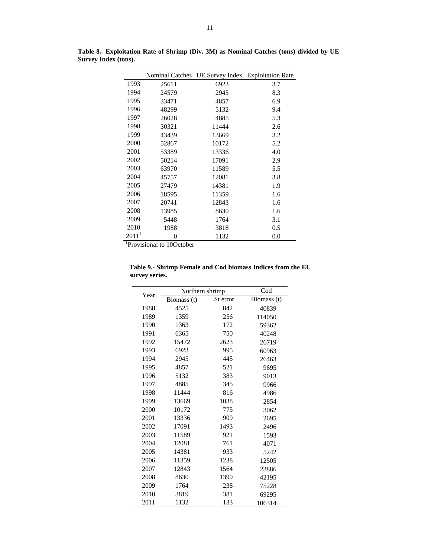|                   |                                        |       | Nominal Catches UE Survey Index Exploitation Rate |
|-------------------|----------------------------------------|-------|---------------------------------------------------|
| 1993              | 25611                                  | 6923  | 3.7                                               |
| 1994              | 24579                                  | 2945  | 8.3                                               |
| 1995              | 33471                                  | 4857  | 6.9                                               |
| 1996              | 48299                                  | 5132  | 9.4                                               |
| 1997              | 26028                                  | 4885  | 5.3                                               |
| 1998              | 30321                                  | 11444 | 2.6                                               |
| 1999              | 43439                                  | 13669 | 3.2                                               |
| 2000              | 52867                                  | 10172 | 5.2                                               |
| 2001              | 53389                                  | 13336 | 4.0                                               |
| 2002              | 50214                                  | 17091 | 2.9                                               |
| 2003              | 63970                                  | 11589 | 5.5                                               |
| 2004              | 45757                                  | 12081 | 3.8                                               |
| 2005              | 27479                                  | 14381 | 1.9                                               |
| 2006              | 18595                                  | 11359 | 1.6                                               |
| 2007              | 20741                                  | 12843 | 1.6                                               |
| 2008              | 13985                                  | 8630  | 1.6                                               |
| 2009              | 5448                                   | 1764  | 3.1                                               |
| 2010              | 1988                                   | 3818  | 0.5                                               |
| 2011 <sup>1</sup> | 0                                      | 1132  | 0.0                                               |
|                   | $\frac{1}{2}$ Drovisional to 100stober |       |                                                   |

**Table 8.- Exploitation Rate of Shrimp (Div. 3M) as Nominal Catches (tons) divided by UE Survey Index (tons).** 

 <sup>1</sup> <sup>1</sup>Provisional to 10October

| Year | Northern shrimp |          | $\mathrm{Cod}$ |
|------|-----------------|----------|----------------|
|      | Biomass (t)     | St error | Biomass (t)    |
| 1988 | 4525            | 842      | 40839          |
| 1989 | 1359            | 256      | 114050         |
| 1990 | 1363            | 172      | 59362          |
| 1991 | 6365            | 750      | 40248          |
| 1992 | 15472           | 2623     | 26719          |
| 1993 | 6923            | 995      | 60963          |
| 1994 | 2945            | 445      | 26463          |
| 1995 | 4857            | 521      | 9695           |
| 1996 | 5132            | 383      | 9013           |
| 1997 | 4885            | 345      | 9966           |
| 1998 | 11444           | 816      | 4986           |
| 1999 | 13669           | 1038     | 2854           |
| 2000 | 10172           | 775      | 3062           |
| 2001 | 13336           | 909      | 2695           |
| 2002 | 17091           | 1493     | 2496           |
| 2003 | 11589           | 921      | 1593           |
| 2004 | 12081           | 761      | 4071           |
| 2005 | 14381           | 933      | 5242           |
| 2006 | 11359           | 1238     | 12505          |
| 2007 | 12843           | 1564     | 23886          |
| 2008 | 8630            | 1399     | 42195          |
| 2009 | 1764            | 238      | 75228          |
| 2010 | 3819            | 381      | 69295          |
| 2011 | 1132            | 133      | 106314         |

**Table 9.- Shrimp Female and Cod biomass Indices from the EU survey series.**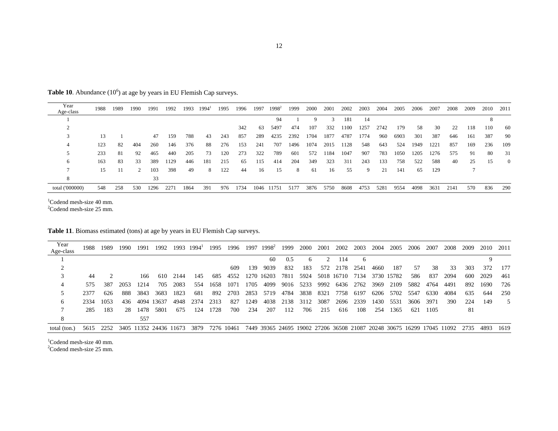**Table 10**. Abundance (10<sup>6</sup>) at age by years in EU Flemish Cap surveys.

| Year<br>Age-class | 1988 | 1989 | 1990 | 1991 | 1992 | 1993 | $1994^{\text{T}}$ | 1995 | 1996 | 1997 | $1998^2$ | 1999 | 2000 | 2001 | 2002 | 2003 | 2004 | 2005 | 2006 | 2007 | 2008 | 2009 | 2010 | 2011     |
|-------------------|------|------|------|------|------|------|-------------------|------|------|------|----------|------|------|------|------|------|------|------|------|------|------|------|------|----------|
|                   |      |      |      |      |      |      |                   |      |      |      | 94       |      | Q    |      | 181  | 14   |      |      |      |      |      |      |      |          |
|                   |      |      |      |      |      |      |                   |      | 342  | 63   | 5497     | 474  | 107  | 332  | 1100 | 1257 | 2742 | 179  | -58  | 30   | 22   | 118  | 110  | -60      |
|                   | 13   |      |      | 47   | 159  | 788  | 43                | 243  | 857  | 289  | 4235     | 2392 | 1704 | 1877 | 4787 | 1774 | 960  | 6903 | 301  | 387  | 646  | 161  | 387  | 90       |
| 4                 | 123  | 82   | 404  | 260  | 146  | 376  | 88                | 276  | 153  | 241  | 707      | 1496 | 1074 | 2015 | 1128 | 548  | 643  | 524  | 1949 | 1221 | 857  | 169  | 236  | 109      |
|                   | 233  | -81  | 92   | 465  | 440  | 205  | 73                | 120  | 273  | 322  | 789      | 601  | 572  | 1184 | 1047 | 907  | 783  | 1050 | 1205 | 1276 | 575  | 91   | 80   | 31       |
| 6                 | 163  | 83   | 33   | 389  | 1129 | 446  | 181               | 215  | 65   | 115  | 414      | 204  | 349  | 323  | 311  | 243  | 133  | 758  | 522  | 588  | 40   | 25   | -15  | $\theta$ |
|                   | 15   |      | 2    | 103  | 398  | 49   | 8                 | 122  | 44   | 16   | 15       | 8    | 61   | 16   | 55   | 9    | 21   | 141  | 65   | 129  |      |      |      |          |
| 8                 |      |      |      | 33   |      |      |                   |      |      |      |          |      |      |      |      |      |      |      |      |      |      |      |      |          |
| total ('000000)   | 548  | 258  | 530  | 1296 | 2271 | 1864 | 391               | 976  | 1734 | 1046 | 11751    | 5177 | 3876 | 5750 | 8608 | 4753 | 5281 | 9554 | 4098 | 3631 | 2141 | 570  | 836  | 290      |

 $1$ Codend mesh-size 40 mm.<br>  $2$ Codend mesh-size 25 mm.

**Table 11**. Biomass estimated (tons) at age by years in EU Flemish Cap surveys.

| Year<br>Age-class | 1988 | 1989 | 1990 | 1991 | 1992                   | 1993 | $1994^{\text{i}}$ | 1995       | 1996 | 1997 | $1998^2$   | 1999      | 2000 | 2001          | 2002                      | 2003 | 2004 | 2005       | 2006                                                                   | 2007 | 2008 | 2009  | 2010   | 2011 |
|-------------------|------|------|------|------|------------------------|------|-------------------|------------|------|------|------------|-----------|------|---------------|---------------------------|------|------|------------|------------------------------------------------------------------------|------|------|-------|--------|------|
|                   |      |      |      |      |                        |      |                   |            |      |      | 60.        | 0.5       | 6.   | $\mathcal{D}$ | 114                       | 6    |      |            |                                                                        |      |      |       |        |      |
|                   |      |      |      |      |                        |      |                   |            | 609  | 139  | 9039       | 832       | 183  | 572           | 2178                      | 2541 | 4660 | 187        | 57                                                                     | 38   | 33   | 303   | 372    | 177  |
|                   | 44   |      |      | 166  | 610                    | 2144 | 145               | 685        | 4552 |      | 1270 16203 |           |      |               | 7811 5924 5018 16710 7134 |      |      | 3730 15782 | 586                                                                    | 837  | 2094 | -600- | 2029   | -461 |
| 4                 | 575  | 387  | 2053 | 1214 | 705                    | 2083 | 554               | 1658       | 1071 | 1705 | 4099       |           |      |               | 9016 5233 9992 6436       | 2762 | 3969 | 2109       | 5882                                                                   | 4764 | 4491 | 892   | -1690- | 726  |
|                   | 2377 | 626  | 888  | 3843 | 3683                   | 1823 | 681               | 892        | 2703 | 2853 | 5719       | 4784      | 3838 | 8321          | 7758                      | 6197 | 6206 | 5702       | 5547                                                                   | 6330 | 4084 | 635   | 644    | 250  |
| 6.                | 2334 | 1053 | 436  | 4094 | 13637                  | 4948 | 2374              | 2313       | 827  | 1249 |            | 4038 2138 | 3112 | 3087          | 2696                      | 2339 | 1430 | 5531       | 3606                                                                   | 3971 | 390  | 224   | 149    |      |
|                   | 285  | 183  | 28   | 1478 | 5801                   | 675  | 124               | 1728       | 700  | 234  | 207        | 112       | 706  | 215           | 616                       | 108  | 254  | 1365       | 621                                                                    | 1105 |      | 81    |        |      |
| 8                 |      |      |      | 557  |                        |      |                   |            |      |      |            |           |      |               |                           |      |      |            |                                                                        |      |      |       |        |      |
| total (ton.)      | 5615 | 2252 |      |      | 3405 11352 24436 11673 |      | 3879              | 7276 10461 |      |      |            |           |      |               |                           |      |      |            | 7449 39365 24695 19002 27206 36508 21087 20248 30675 16299 17045 11092 |      |      | 2735  | 4893   | 1619 |

 $1$ Codend mesh-size 40 mm.

<sup>2</sup>Codend mesh-size 25 mm.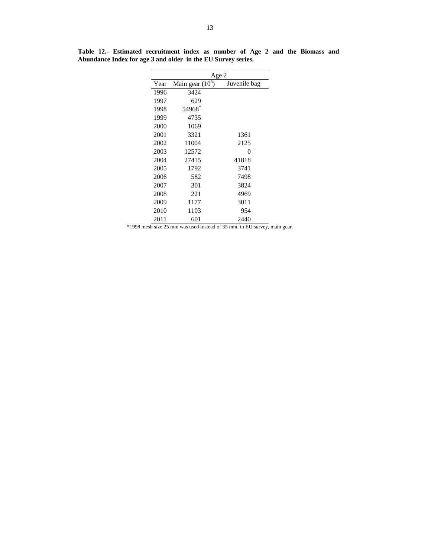|      | Age 2              |              |  |  |  |  |  |
|------|--------------------|--------------|--|--|--|--|--|
| Year | Main gear $(10^5)$ | Juvenile bag |  |  |  |  |  |
| 1996 | 3424               |              |  |  |  |  |  |
| 1997 | 629                |              |  |  |  |  |  |
| 1998 | 54968*             |              |  |  |  |  |  |
| 1999 | 4735               |              |  |  |  |  |  |
| 2000 | 1069               |              |  |  |  |  |  |
| 2001 | 3321               | 1361         |  |  |  |  |  |
| 2002 | 11004              | 2125         |  |  |  |  |  |
| 2003 | 12572              | 0            |  |  |  |  |  |
| 2004 | 27415              | 41818        |  |  |  |  |  |
| 2005 | 1792               | 3741         |  |  |  |  |  |
| 2006 | 582                | 7498         |  |  |  |  |  |
| 2007 | 301                | 3824         |  |  |  |  |  |
| 2008 | 221                | 4969         |  |  |  |  |  |
| 2009 | 1177               | 3011         |  |  |  |  |  |
| 2010 | 1103               | 954          |  |  |  |  |  |
| 2011 | 601                | 2440         |  |  |  |  |  |

**Table 12.- Estimated recruitment index as number of Age 2 and the Biomass and Abundance Index for age 3 and older in the EU Survey series.** 

\*1998 mesh size 25 mm was used instead of 35 mm. in EU survey, main gear.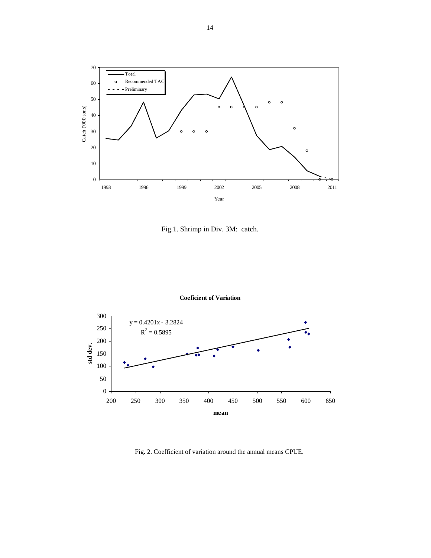

Fig.1. Shrimp in Div. 3M: catch.



**Coeficient of Variation**

Fig. 2. Coefficient of variation around the annual means CPUE.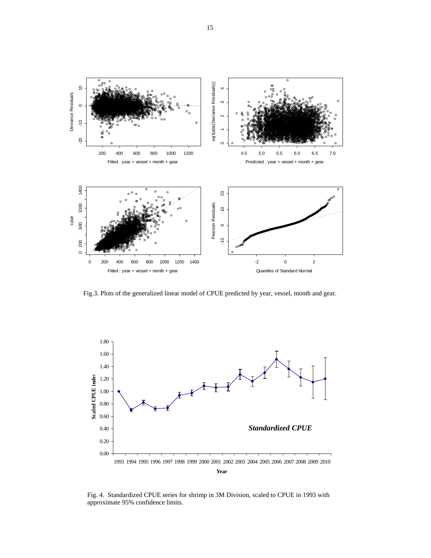

Fig.3. Plots of the generalized linear model of CPUE predicted by year, vessel, month and gear.



Fig. 4. Standardized CPUE series for shrimp in 3M Division, scaled to CPUE in 1993 with approximate 95% confidence limits.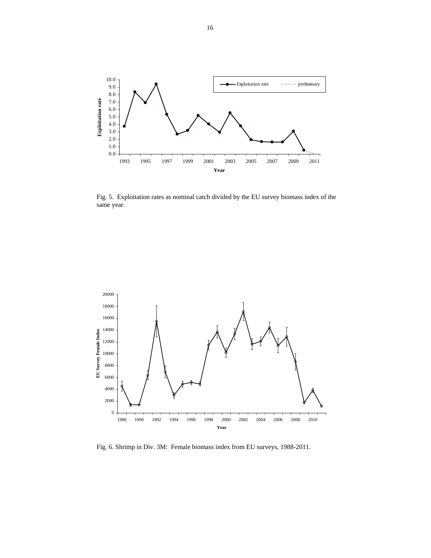

Fig. 5. Exploitation rates as nominal catch divided by the EU survey biomass index of the same year.



Fig. 6. Shrimp in Div. 3M: Female biomass index from EU surveys, 1988-2011.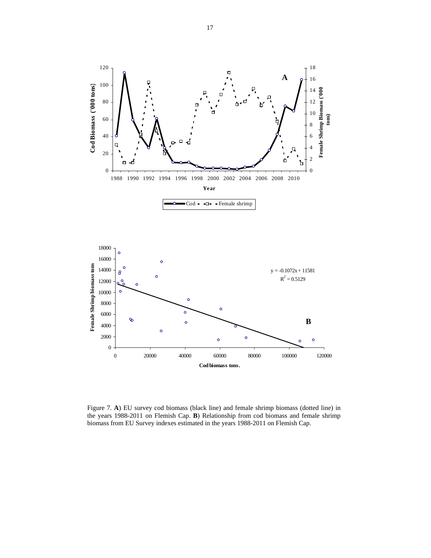

Figure 7. **A**) EU survey cod biomass (black line) and female shrimp biomass (dotted line) in the years 1988-2011 on Flemish Cap. **B**) Relationship from cod biomass and female shrimp biomass from EU Survey indexes estimated in the years 1988-2011 on Flemish Cap.